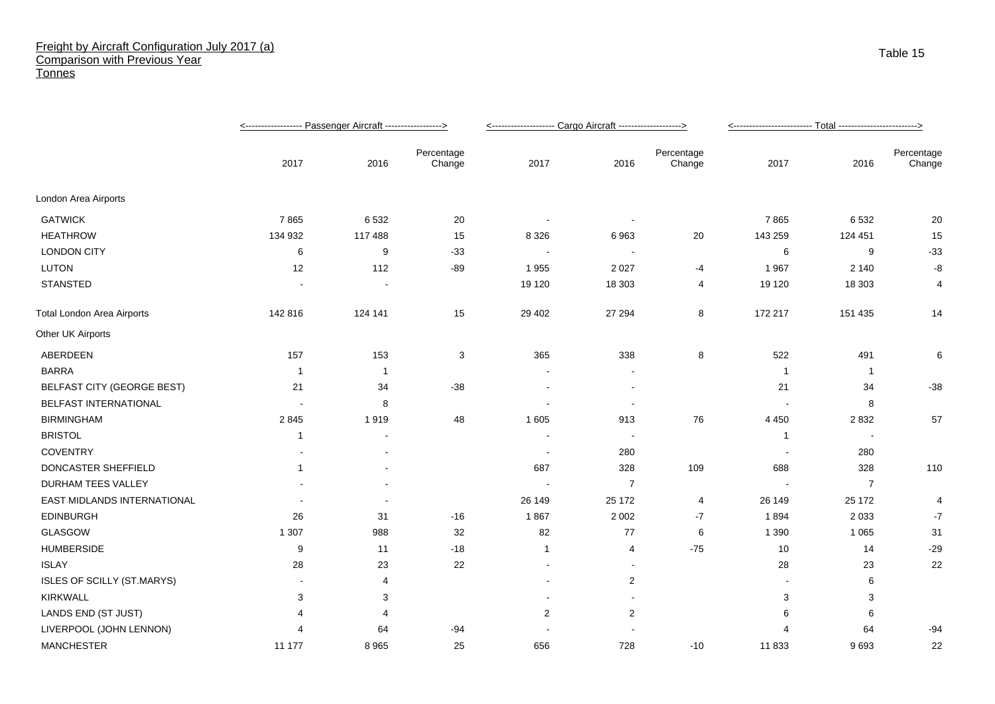## Freight by Aircraft Configuration July 2017 (a) Comparison with Previous Year **Tonnes**

|                                   |         |         | <-------------------- Cargo Aircraft -------------------> |                          |                          |                      |                |                          |                      |
|-----------------------------------|---------|---------|-----------------------------------------------------------|--------------------------|--------------------------|----------------------|----------------|--------------------------|----------------------|
|                                   | 2017    | 2016    | Percentage<br>Change                                      | 2017                     | 2016                     | Percentage<br>Change | 2017           | 2016                     | Percentage<br>Change |
| London Area Airports              |         |         |                                                           |                          |                          |                      |                |                          |                      |
| <b>GATWICK</b>                    | 7865    | 6532    | 20                                                        |                          |                          |                      | 7865           | 6532                     | 20                   |
| <b>HEATHROW</b>                   | 134 932 | 117 488 | 15                                                        | 8 3 2 6                  | 6963                     | 20                   | 143 259        | 124 451                  | 15                   |
| <b>LONDON CITY</b>                | 6       | 9       | $-33$                                                     | $\sim$                   |                          |                      | 6              | 9                        | $-33$                |
| <b>LUTON</b>                      | 12      | 112     | $-89$                                                     | 1955                     | 2 0 2 7                  | -4                   | 1 9 6 7        | 2 1 4 0                  | -8                   |
| <b>STANSTED</b>                   |         |         |                                                           | 19 120                   | 18 303                   | $\overline{4}$       | 19 120         | 18 30 3                  | 4                    |
| <b>Total London Area Airports</b> | 142 816 | 124 141 | 15                                                        | 29 40 2                  | 27 294                   | 8                    | 172 217        | 151 435                  | 14                   |
| Other UK Airports                 |         |         |                                                           |                          |                          |                      |                |                          |                      |
| ABERDEEN                          | 157     | 153     | 3                                                         | 365                      | 338                      | 8                    | 522            | 491                      | 6                    |
| <b>BARRA</b>                      | -1      | -1      |                                                           |                          |                          |                      | $\overline{1}$ | $\overline{1}$           |                      |
| <b>BELFAST CITY (GEORGE BEST)</b> | 21      | 34      | $-38$                                                     |                          |                          |                      | 21             | 34                       | $-38$                |
| BELFAST INTERNATIONAL             |         | 8       |                                                           |                          | $\overline{\phantom{a}}$ |                      |                | 8                        |                      |
| <b>BIRMINGHAM</b>                 | 2845    | 1919    | 48                                                        | 1 605                    | 913                      | 76                   | 4 4 5 0        | 2832                     | 57                   |
| <b>BRISTOL</b>                    | 1       |         |                                                           |                          | $\blacksquare$           |                      | $\overline{1}$ | $\overline{\phantom{a}}$ |                      |
| <b>COVENTRY</b>                   |         |         |                                                           | $\overline{\phantom{a}}$ | 280                      |                      |                | 280                      |                      |
| DONCASTER SHEFFIELD               | -1      |         |                                                           | 687                      | 328                      | 109                  | 688            | 328                      | 110                  |
| DURHAM TEES VALLEY                |         |         |                                                           |                          | $\overline{7}$           |                      |                | 7                        |                      |
| EAST MIDLANDS INTERNATIONAL       |         |         |                                                           | 26 149                   | 25 172                   | $\overline{4}$       | 26 149         | 25 172                   | 4                    |
| <b>EDINBURGH</b>                  | 26      | 31      | $-16$                                                     | 1867                     | 2 0 0 2                  | $-7$                 | 1894           | 2 0 3 3                  | $-7$                 |
| <b>GLASGOW</b>                    | 1 3 0 7 | 988     | 32                                                        | 82                       | 77                       | 6                    | 1 3 9 0        | 1 0 6 5                  | 31                   |
| <b>HUMBERSIDE</b>                 | 9       | 11      | $-18$                                                     | 1                        | 4                        | $-75$                | 10             | 14                       | $-29$                |
| <b>ISLAY</b>                      | 28      | 23      | 22                                                        | $\overline{\phantom{a}}$ | $\blacksquare$           |                      | 28             | 23                       | 22                   |
| ISLES OF SCILLY (ST.MARYS)        |         | 4       |                                                           |                          | $\overline{2}$           |                      |                | 6                        |                      |
| <b>KIRKWALL</b>                   | 3       | 3       |                                                           |                          |                          |                      | 3              | 3                        |                      |
| LANDS END (ST JUST)               | 4       | 4       |                                                           | $\overline{2}$           | $\overline{2}$           |                      | 6              | 6                        |                      |
| LIVERPOOL (JOHN LENNON)           |         | 64      | $-94$                                                     |                          |                          |                      |                | 64                       | $-94$                |
| <b>MANCHESTER</b>                 | 11 177  | 8965    | 25                                                        | 656                      | 728                      | $-10$                | 11 833         | 9693                     | 22                   |